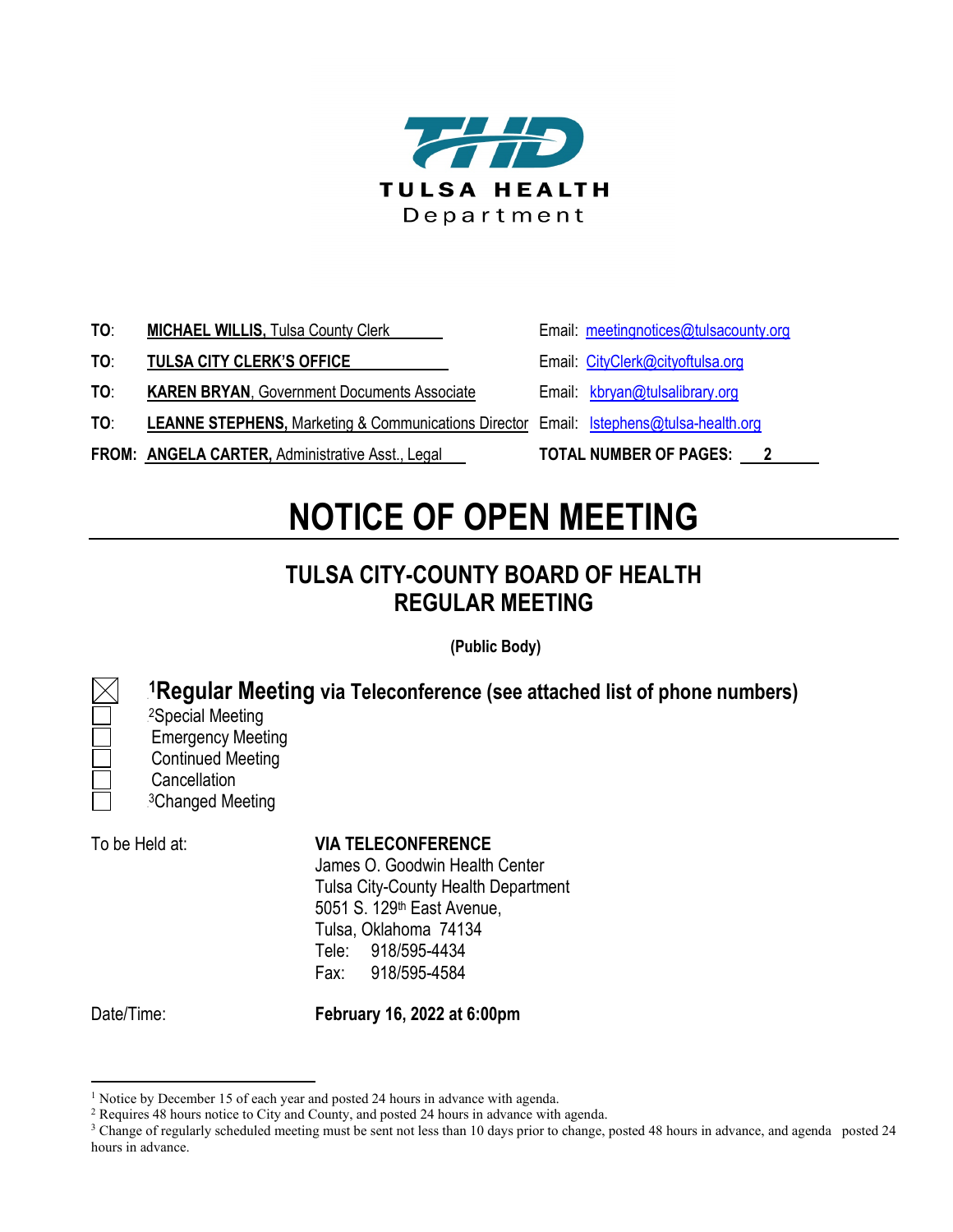

- **TO: MICHAEL WILLIS,** Tulsa County Clerk **Email:** [meetingnotices@tulsacounty.org](mailto:meetingnotices@tulsacounty.org)
- **TO: TULSA CITY CLERK'S OFFICE** Email: [CityClerk@cityoftulsa.org](mailto:jhabibi@cityoftulsa.org)
- **TO: KAREN BRYAN**, Government Documents Associate Email: [kbryan@tulsalibrary.org](mailto:kbryan@tulsalibrary.org)
- **TO**: **LEANNE STEPHENS,** Marketing & Communications Director Email: [lstephens@tulsa-health.org](mailto:lstephens@tulsa-health.org)
- **FROM: ANGELA CARTER, Administrative Asst., Legal TOTAL NUMBER OF PAGES: 2**
- 
- 
- 
- 
- 

## **NOTICE OF OPEN MEETING**

## **TULSA CITY-COUNTY BOARD OF HEALTH REGULAR MEETING**

**(Public Body)**

<sup>1</sup>Regular Meeting via Teleconference (see attached list of phone numbers) <sup>2</sup>Special Meeting

Emergency Meeting Continued Meeting **Cancellation** <sup>3</sup>Changed Meeting

## To be Held at: **VIA TELECONFERENCE**

James O. Goodwin Health Center Tulsa City-County Health Department 5051 S. 129th East Avenue, Tulsa, Oklahoma 74134 Tele: 918/595-4434 Fax: 918/595-4584

Date/Time: **February 16, 2022 at 6:00pm**

<sup>&</sup>lt;sup>1</sup> Notice by December 15 of each year and posted 24 hours in advance with agenda.

<sup>2</sup> Requires 48 hours notice to City and County, and posted 24 hours in advance with agenda.

<sup>&</sup>lt;sup>3</sup> Change of regularly scheduled meeting must be sent not less than 10 days prior to change, posted 48 hours in advance, and agenda posted 24 hours in advance.